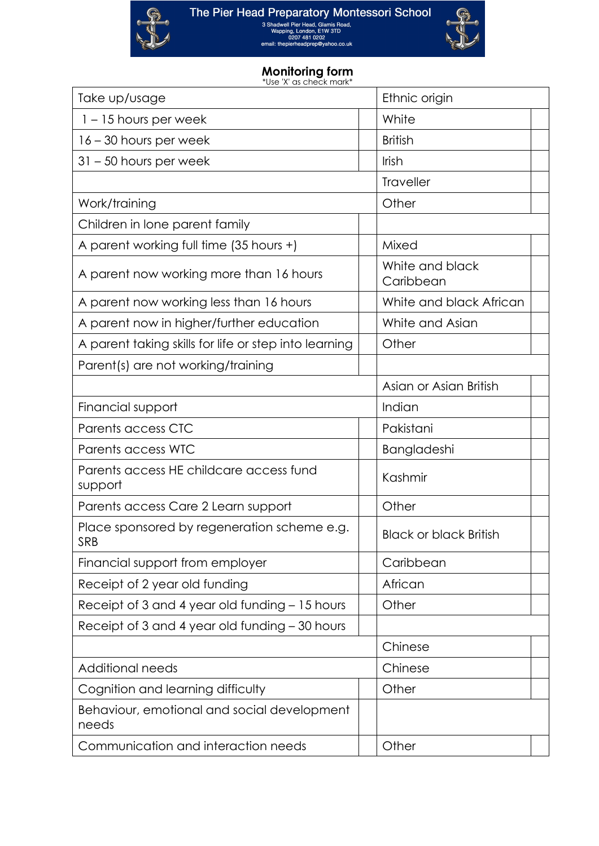The Pier Head Preparatory Montessori School<br>  $\frac{\text{3 Shadvell} \text{ Pier Head}}{\text{Wappd}, \text{Lindol}, \text{E1W 3TD}}$ <br>  $\frac{\text{UQQ1} \text{UQ1}}{\text{Q2O1 4BI 0202}}$ <br>
email: thepierheadprep@yahoo.co.uk



## **Monitoring form**

\*Use 'X' as check mark\*

| Take up/usage                                             | Ethnic origin                 |  |
|-----------------------------------------------------------|-------------------------------|--|
| $1 - 15$ hours per week                                   | White                         |  |
| 16 – 30 hours per week                                    | <b>British</b>                |  |
| $31 - 50$ hours per week                                  | Irish                         |  |
|                                                           | <b>Traveller</b>              |  |
| Work/training                                             | Other                         |  |
| Children in lone parent family                            |                               |  |
| A parent working full time (35 hours +)                   | Mixed                         |  |
| A parent now working more than 16 hours                   | White and black<br>Caribbean  |  |
| A parent now working less than 16 hours                   | White and black African       |  |
| A parent now in higher/further education                  | White and Asian               |  |
| A parent taking skills for life or step into learning     | Other                         |  |
| Parent(s) are not working/training                        |                               |  |
|                                                           | Asian or Asian British        |  |
| Financial support                                         | Indian                        |  |
| Parents access CTC                                        | Pakistani                     |  |
| Parents access WTC                                        | Bangladeshi                   |  |
| Parents access HE childcare access fund<br>support        | Kashmir                       |  |
| Parents access Care 2 Learn support                       | Other                         |  |
| Place sponsored by regeneration scheme e.g.<br><b>SRB</b> | <b>Black or black British</b> |  |
| Financial support from employer                           | Caribbean                     |  |
| Receipt of 2 year old funding                             | African                       |  |
| Receipt of 3 and 4 year old funding - 15 hours            | Other                         |  |
| Receipt of 3 and 4 year old funding - 30 hours            |                               |  |
|                                                           | Chinese                       |  |
| <b>Additional needs</b>                                   | Chinese                       |  |
| Cognition and learning difficulty                         | Other                         |  |
| Behaviour, emotional and social development<br>needs      |                               |  |
| Communication and interaction needs                       | Other                         |  |